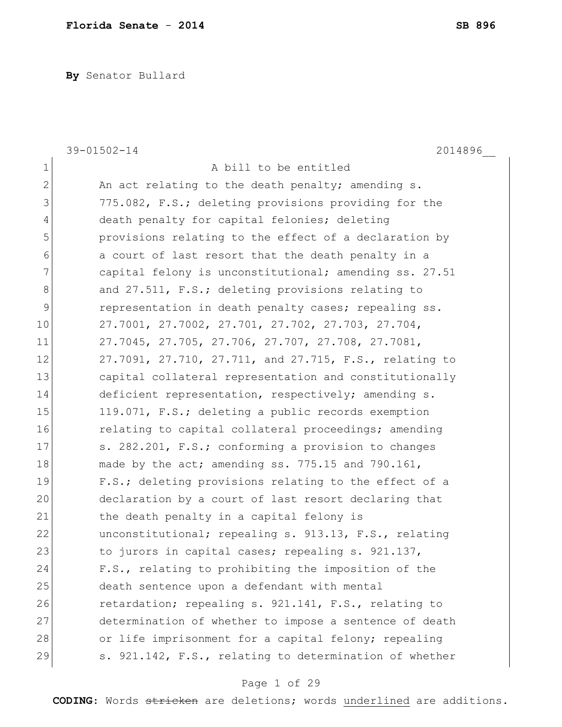**By** Senator Bullard

|              | 2014896<br>$39 - 01502 - 14$                           |
|--------------|--------------------------------------------------------|
| $\mathbf 1$  | A bill to be entitled                                  |
| $\mathbf{2}$ | An act relating to the death penalty; amending s.      |
| 3            | 775.082, F.S.; deleting provisions providing for the   |
| 4            | death penalty for capital felonies; deleting           |
| 5            | provisions relating to the effect of a declaration by  |
| 6            | a court of last resort that the death penalty in a     |
| 7            | capital felony is unconstitutional; amending ss. 27.51 |
| 8            | and 27.511, F.S.; deleting provisions relating to      |
| 9            | representation in death penalty cases; repealing ss.   |
| 10           | 27.7001, 27.7002, 27.701, 27.702, 27.703, 27.704,      |
| 11           | 27.7045, 27.705, 27.706, 27.707, 27.708, 27.7081,      |
| 12           | 27.7091, 27.710, 27.711, and 27.715, F.S., relating to |
| 13           | capital collateral representation and constitutionally |
| 14           | deficient representation, respectively; amending s.    |
| 15           | 119.071, F.S.; deleting a public records exemption     |
| 16           | relating to capital collateral proceedings; amending   |
| 17           | s. 282.201, F.S.; conforming a provision to changes    |
| 18           | made by the act; amending ss. 775.15 and 790.161,      |
| 19           | F.S.; deleting provisions relating to the effect of a  |
| 20           | declaration by a court of last resort declaring that   |
| 21           | the death penalty in a capital felony is               |
| 22           | unconstitutional; repealing s. 913.13, F.S., relating  |
| 23           | to jurors in capital cases; repealing s. 921.137,      |
| 24           | F.S., relating to prohibiting the imposition of the    |
| 25           | death sentence upon a defendant with mental            |
| 26           | retardation; repealing s. 921.141, F.S., relating to   |
| 27           | determination of whether to impose a sentence of death |
| 28           | or life imprisonment for a capital felony; repealing   |
| 29           | s. 921.142, F.S., relating to determination of whether |
|              |                                                        |

# Page 1 of 29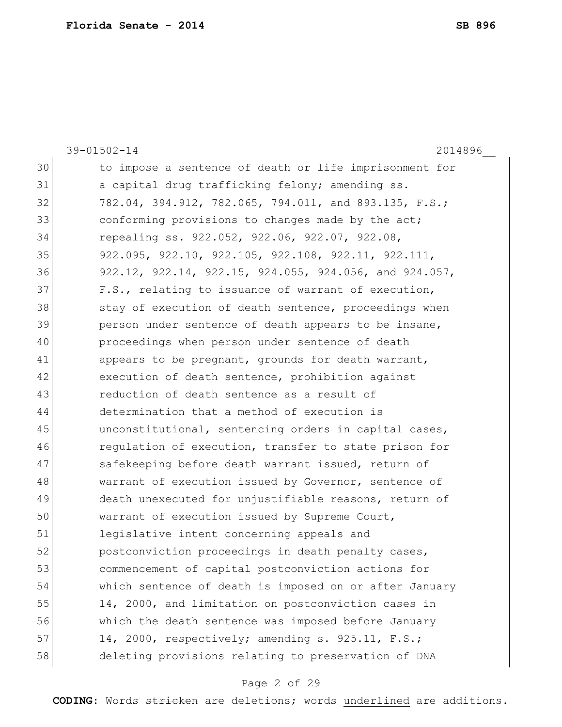|    | $39 - 01502 - 14$<br>2014896                           |
|----|--------------------------------------------------------|
| 30 | to impose a sentence of death or life imprisonment for |
| 31 | a capital drug trafficking felony; amending ss.        |
| 32 | 782.04, 394.912, 782.065, 794.011, and 893.135, F.S.;  |
| 33 | conforming provisions to changes made by the act;      |
| 34 | repealing ss. 922.052, 922.06, 922.07, 922.08,         |
| 35 | 922.095, 922.10, 922.105, 922.108, 922.11, 922.111,    |
| 36 | 922.12, 922.14, 922.15, 924.055, 924.056, and 924.057, |
| 37 | F.S., relating to issuance of warrant of execution,    |
| 38 | stay of execution of death sentence, proceedings when  |
| 39 | person under sentence of death appears to be insane,   |
| 40 | proceedings when person under sentence of death        |
| 41 | appears to be pregnant, grounds for death warrant,     |
| 42 | execution of death sentence, prohibition against       |
| 43 | reduction of death sentence as a result of             |
| 44 | determination that a method of execution is            |
| 45 | unconstitutional, sentencing orders in capital cases,  |
| 46 | regulation of execution, transfer to state prison for  |
| 47 | safekeeping before death warrant issued, return of     |
| 48 | warrant of execution issued by Governor, sentence of   |
| 49 | death unexecuted for unjustifiable reasons, return of  |
| 50 | warrant of execution issued by Supreme Court,          |
| 51 | legislative intent concerning appeals and              |
| 52 | postconviction proceedings in death penalty cases,     |
| 53 | commencement of capital postconviction actions for     |
| 54 | which sentence of death is imposed on or after January |
| 55 | 14, 2000, and limitation on postconviction cases in    |
| 56 | which the death sentence was imposed before January    |
| 57 | 14, 2000, respectively; amending s. 925.11, F.S.;      |
| 58 | deleting provisions relating to preservation of DNA    |
|    |                                                        |

# Page 2 of 29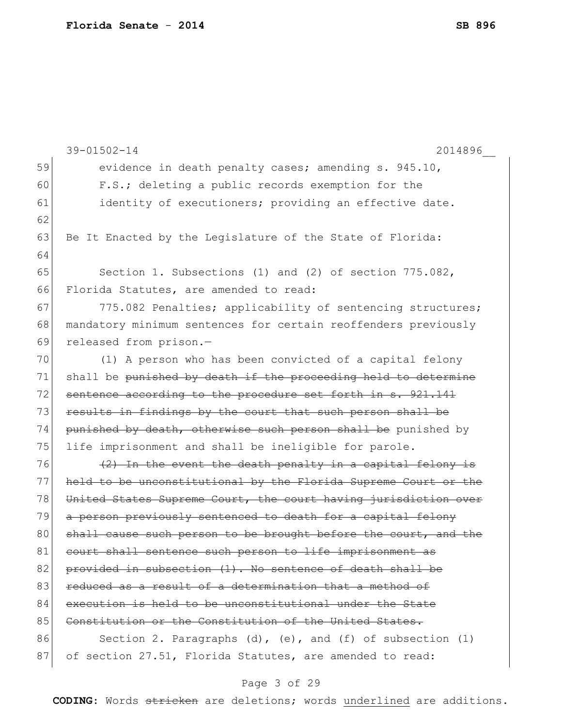|    | $39 - 01502 - 14$<br>2014896                                        |
|----|---------------------------------------------------------------------|
| 59 | evidence in death penalty cases; amending s. 945.10,                |
| 60 | F.S.; deleting a public records exemption for the                   |
| 61 | identity of executioners; providing an effective date.              |
| 62 |                                                                     |
| 63 | Be It Enacted by the Legislature of the State of Florida:           |
| 64 |                                                                     |
| 65 | Section 1. Subsections (1) and (2) of section 775.082,              |
| 66 | Florida Statutes, are amended to read:                              |
| 67 | 775.082 Penalties; applicability of sentencing structures;          |
| 68 | mandatory minimum sentences for certain reoffenders previously      |
| 69 | released from prison.-                                              |
| 70 | (1) A person who has been convicted of a capital felony             |
| 71 | shall be punished by death if the proceeding held to determine      |
| 72 | sentence according to the procedure set forth in s. 921.141         |
| 73 | results in findings by the court that such person shall be          |
| 74 | punished by death, otherwise such person shall be punished by       |
| 75 | life imprisonment and shall be ineligible for parole.               |
| 76 | (2) In the event the death penalty in a capital felony is           |
| 77 | held to be unconstitutional by the Florida Supreme Court or the     |
| 78 | United States Supreme Court, the court having jurisdiction over     |
| 79 | a person previously sentenced to death for a capital felony         |
| 80 | shall cause such person to be brought before the court, and the     |
| 81 | court shall sentence such person to life imprisonment as            |
| 82 | provided in subsection (1). No sentence of death shall be           |
| 83 | reduced as a result of a determination that a method of             |
| 84 | execution is held to be unconstitutional under the State            |
| 85 | Constitution or the Constitution of the United States.              |
| 86 | Section 2. Paragraphs $(d)$ , $(e)$ , and $(f)$ of subsection $(1)$ |
| 87 | of section 27.51, Florida Statutes, are amended to read:            |

# Page 3 of 29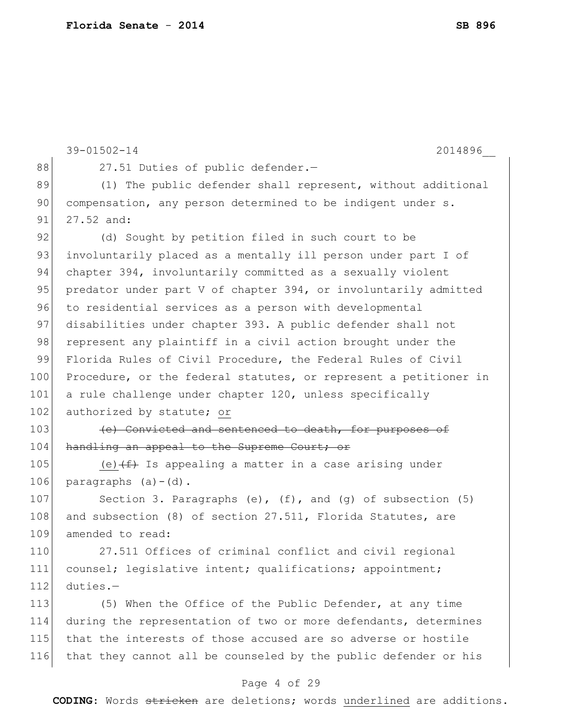|     | $39 - 01502 - 14$<br>2014896                                        |
|-----|---------------------------------------------------------------------|
| 88  | 27.51 Duties of public defender.-                                   |
| 89  | (1) The public defender shall represent, without additional         |
| 90  | compensation, any person determined to be indigent under s.         |
| 91  | 27.52 and:                                                          |
| 92  | (d) Sought by petition filed in such court to be                    |
| 93  | involuntarily placed as a mentally ill person under part I of       |
| 94  | chapter 394, involuntarily committed as a sexually violent          |
| 95  | predator under part V of chapter 394, or involuntarily admitted     |
| 96  | to residential services as a person with developmental              |
| 97  | disabilities under chapter 393. A public defender shall not         |
| 98  | represent any plaintiff in a civil action brought under the         |
| 99  | Florida Rules of Civil Procedure, the Federal Rules of Civil        |
| 100 | Procedure, or the federal statutes, or represent a petitioner in    |
| 101 | a rule challenge under chapter 120, unless specifically             |
| 102 | authorized by statute; or                                           |
| 103 | (e) Convicted and sentenced to death, for purposes of               |
| 104 | handling an appeal to the Supreme Court; or                         |
| 105 | (e) $(f+)$ Is appealing a matter in a case arising under            |
| 106 | paragraphs $(a) - (d)$ .                                            |
| 107 | Section 3. Paragraphs $(e)$ , $(f)$ , and $(g)$ of subsection $(5)$ |
| 108 | and subsection (8) of section 27.511, Florida Statutes, are         |
| 109 | amended to read:                                                    |
| 110 | 27.511 Offices of criminal conflict and civil regional              |
| 111 | counsel; legislative intent; qualifications; appointment;           |
| 112 | duties.-                                                            |
| 113 | (5) When the Office of the Public Defender, at any time             |
| 114 | during the representation of two or more defendants, determines     |
| 115 | that the interests of those accused are so adverse or hostile       |
| 116 | that they cannot all be counseled by the public defender or his     |
|     |                                                                     |

# Page 4 of 29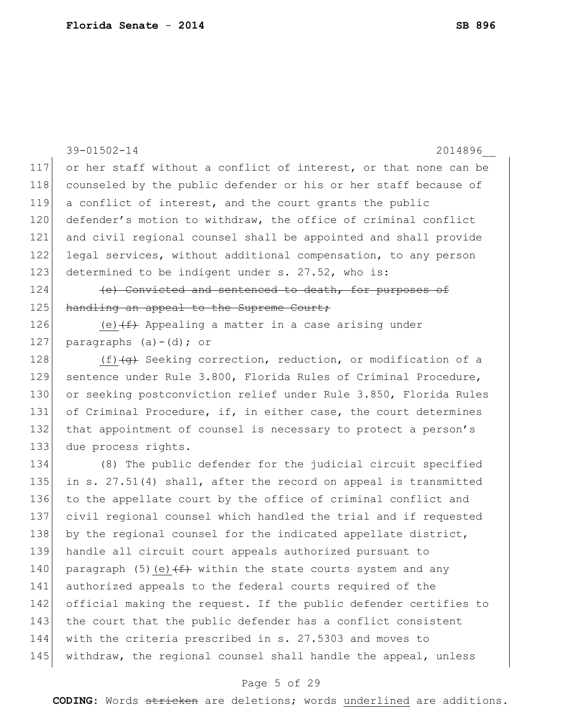| 39-01502-14<br>2014896                                                   |
|--------------------------------------------------------------------------|
| 117<br>or her staff without a conflict of interest, or that none can be  |
| counseled by the public defender or his or her staff because of<br>118   |
| 119<br>a conflict of interest, and the court grants the public           |
| defender's motion to withdraw, the office of criminal conflict           |
| and civil regional counsel shall be appointed and shall provide          |
| legal services, without additional compensation, to any person           |
| 123<br>determined to be indigent under s. 27.52, who is:                 |
| (e) Convicted and sentenced to death, for purposes of                    |
| handling an appeal to the Supreme Court;                                 |
| (e) $(f)$ Appealing a matter in a case arising under                     |
| paragraphs $(a) - (d)$ ; or                                              |
| $(f)$ $\overline{g}$ Seeking correction, reduction, or modification of a |
| 129<br>sentence under Rule 3.800, Florida Rules of Criminal Procedure,   |
| or seeking postconviction relief under Rule 3.850, Florida Rules         |
| of Criminal Procedure, if, in either case, the court determines          |
| that appointment of counsel is necessary to protect a person's           |
| due process rights.                                                      |
| (8) The public defender for the judicial circuit specified               |
| 135<br>in s. 27.51(4) shall, after the record on appeal is transmitted   |
| to the appellate court by the office of criminal conflict and            |
| 137<br>civil regional counsel which handled the trial and if requested   |
| by the regional counsel for the indicated appellate district,            |
| 139<br>handle all circuit court appeals authorized pursuant to           |
| paragraph (5) (e) $(f + f)$ within the state courts system and any       |
| authorized appeals to the federal courts required of the                 |
| official making the request. If the public defender certifies to         |
| the court that the public defender has a conflict consistent             |
| with the criteria prescribed in s. 27.5303 and moves to                  |
| 145<br>withdraw, the regional counsel shall handle the appeal, unless    |
|                                                                          |

# Page 5 of 29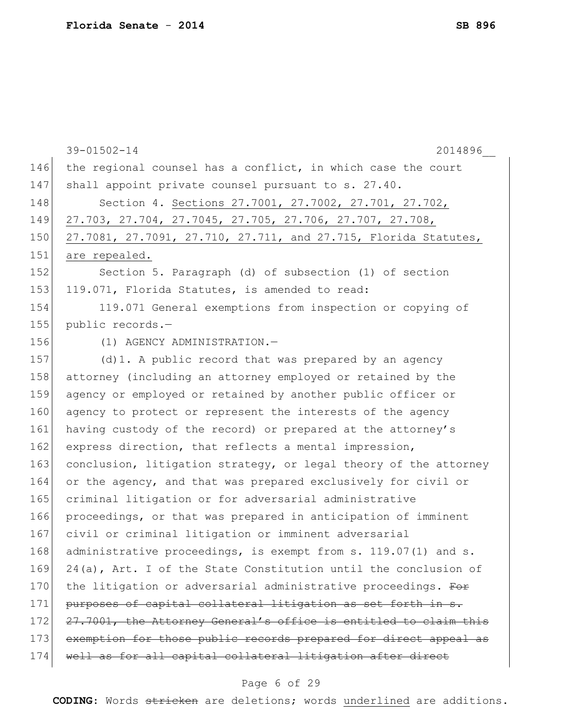|     | 39-01502-14<br>2014896                                             |
|-----|--------------------------------------------------------------------|
| 146 | the regional counsel has a conflict, in which case the court       |
| 147 | shall appoint private counsel pursuant to s. 27.40.                |
| 148 | Section 4. Sections 27.7001, 27.7002, 27.701, 27.702,              |
| 149 | 27.703, 27.704, 27.7045, 27.705, 27.706, 27.707, 27.708,           |
| 150 | 27.7081, 27.7091, 27.710, 27.711, and 27.715, Florida Statutes,    |
| 151 | are repealed.                                                      |
| 152 | Section 5. Paragraph (d) of subsection (1) of section              |
| 153 | 119.071, Florida Statutes, is amended to read:                     |
| 154 | 119.071 General exemptions from inspection or copying of           |
| 155 | public records.-                                                   |
| 156 | (1) AGENCY ADMINISTRATION.-                                        |
| 157 | $(d)$ 1. A public record that was prepared by an agency            |
| 158 | attorney (including an attorney employed or retained by the        |
| 159 | agency or employed or retained by another public officer or        |
| 160 | agency to protect or represent the interests of the agency         |
| 161 | having custody of the record) or prepared at the attorney's        |
| 162 | express direction, that reflects a mental impression,              |
| 163 | conclusion, litigation strategy, or legal theory of the attorney   |
| 164 | or the agency, and that was prepared exclusively for civil or      |
| 165 | criminal litigation or for adversarial administrative              |
| 166 | proceedings, or that was prepared in anticipation of imminent      |
| 167 | civil or criminal litigation or imminent adversarial               |
| 168 | administrative proceedings, is exempt from s. 119.07(1) and s.     |
| 169 | $24(a)$ , Art. I of the State Constitution until the conclusion of |
| 170 | the litigation or adversarial administrative proceedings. For      |
| 171 | purposes of capital collateral litigation as set forth in s.       |
| 172 | 27.7001, the Attorney General's office is entitled to claim this   |
| 173 | exemption for those public records prepared for direct appeal as   |
| 174 | well as for all capital collateral litigation after direct         |
|     |                                                                    |

# Page 6 of 29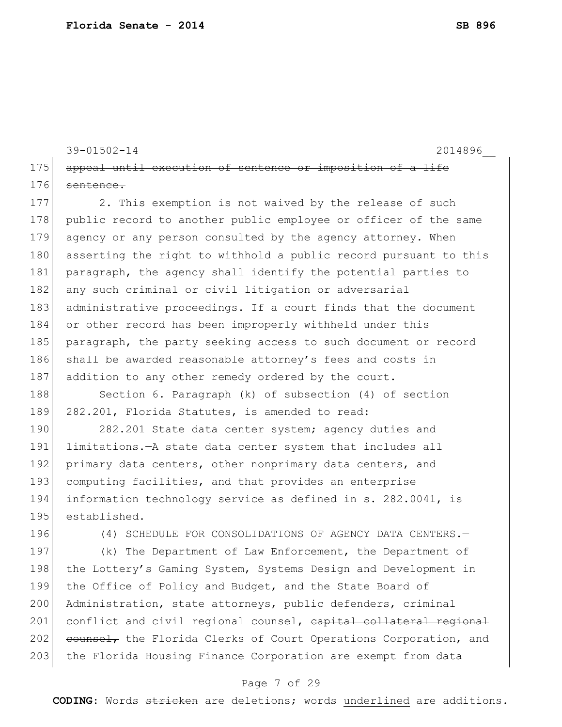```
39-01502-14 2014896__
175 appeal until execution of sentence or imposition of a life
176 sentence.
```
177 2. This exemption is not waived by the release of such 178 public record to another public employee or officer of the same 179 agency or any person consulted by the agency attorney. When 180 asserting the right to withhold a public record pursuant to this 181 paragraph, the agency shall identify the potential parties to 182 any such criminal or civil litigation or adversarial 183 administrative proceedings. If a court finds that the document 184 or other record has been improperly withheld under this 185 paragraph, the party seeking access to such document or record 186 shall be awarded reasonable attorney's fees and costs in 187 addition to any other remedy ordered by the court.

188 Section 6. Paragraph (k) of subsection (4) of section 189 282.201, Florida Statutes, is amended to read:

190 282.201 State data center system; agency duties and 191 limitations.—A state data center system that includes all 192 primary data centers, other nonprimary data centers, and 193 computing facilities, and that provides an enterprise 194 information technology service as defined in s. 282.0041, is 195 established.

196 (4) SCHEDULE FOR CONSOLIDATIONS OF AGENCY DATA CENTERS.

197 (k) The Department of Law Enforcement, the Department of 198 the Lottery's Gaming System, Systems Design and Development in 199 the Office of Policy and Budget, and the State Board of 200 Administration, state attorneys, public defenders, criminal 201 conflict and civil regional counsel, capital collateral regional 202 counsel, the Florida Clerks of Court Operations Corporation, and 203 the Florida Housing Finance Corporation are exempt from data

### Page 7 of 29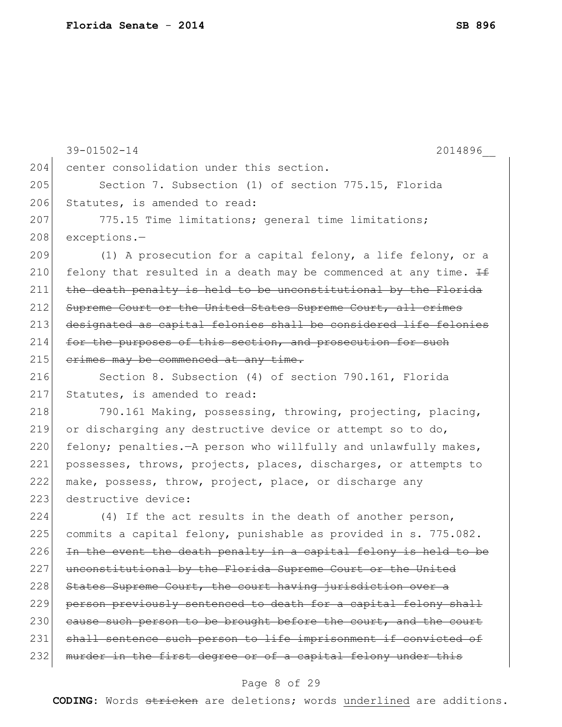|     | $39 - 01502 - 14$<br>2014896                                      |
|-----|-------------------------------------------------------------------|
| 204 | center consolidation under this section.                          |
| 205 | Section 7. Subsection (1) of section 775.15, Florida              |
| 206 | Statutes, is amended to read:                                     |
| 207 | 775.15 Time limitations; general time limitations;                |
| 208 | exceptions.-                                                      |
| 209 | (1) A prosecution for a capital felony, a life felony, or a       |
| 210 | felony that resulted in a death may be commenced at any time. If  |
| 211 | the death penalty is held to be unconstitutional by the Florida   |
| 212 | Supreme Court or the United States Supreme Court, all crimes      |
| 213 | designated as capital felonies shall be considered life felonies  |
| 214 | for the purposes of this section, and prosecution for such        |
| 215 | erimes may be commenced at any time.                              |
| 216 | Section 8. Subsection (4) of section 790.161, Florida             |
| 217 | Statutes, is amended to read:                                     |
| 218 | 790.161 Making, possessing, throwing, projecting, placing,        |
| 219 | or discharging any destructive device or attempt so to do,        |
| 220 | felony; penalties. - A person who willfully and unlawfully makes, |
| 221 | possesses, throws, projects, places, discharges, or attempts to   |
| 222 | make, possess, throw, project, place, or discharge any            |
| 223 | destructive device:                                               |
| 224 | (4) If the act results in the death of another person,            |
| 225 | commits a capital felony, punishable as provided in s. 775.082.   |
| 226 | In the event the death penalty in a capital felony is held to be  |
| 227 | unconstitutional by the Florida Supreme Court or the United       |
| 228 | States Supreme Court, the court having jurisdiction over a        |
| 229 | person previously sentenced to death for a capital felony shall   |
| 230 | cause such person to be brought before the court, and the court   |
| 231 | shall sentence such person to life imprisonment if convicted of   |
| 232 | murder in the first degree or of a capital felony under this      |
|     |                                                                   |

# Page 8 of 29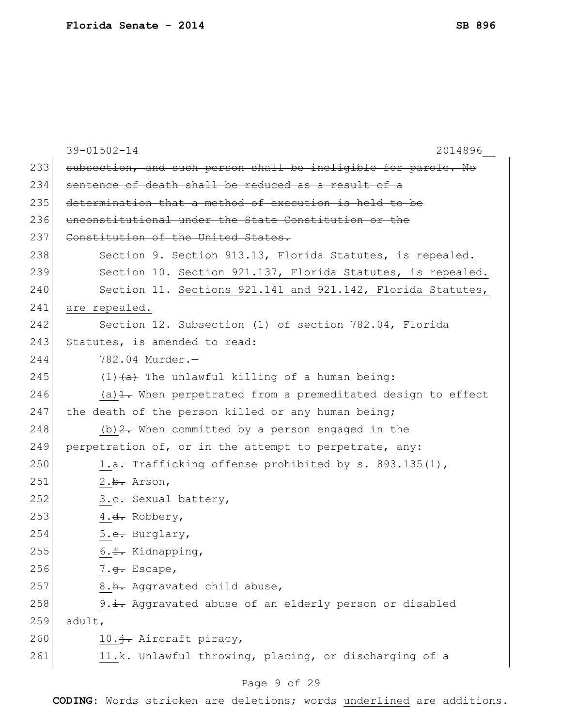|     | 39-01502-14<br>2014896                                            |
|-----|-------------------------------------------------------------------|
| 233 | subsection, and such person shall be ineligible for parole. No    |
| 234 | sentence of death shall be reduced as a result of a               |
| 235 | determination that a method of execution is held to be            |
| 236 | unconstitutional under the State Constitution or the              |
| 237 | Constitution of the United States.                                |
| 238 | Section 9. Section 913.13, Florida Statutes, is repealed.         |
| 239 | Section 10. Section 921.137, Florida Statutes, is repealed.       |
| 240 | Section 11. Sections 921.141 and 921.142, Florida Statutes,       |
| 241 | are repealed.                                                     |
| 242 | Section 12. Subsection (1) of section 782.04, Florida             |
| 243 | Statutes, is amended to read:                                     |
| 244 | 782.04 Murder.-                                                   |
| 245 | $(1)$ $(a)$ The unlawful killing of a human being:                |
| 246 | (a) $\pm$ . When perpetrated from a premeditated design to effect |
| 247 | the death of the person killed or any human being;                |
| 248 | (b) $2$ . When committed by a person engaged in the               |
| 249 | perpetration of, or in the attempt to perpetrate, any:            |
| 250 | 1.a. Trafficking offense prohibited by s. 893.135(1),             |
| 251 | 2.b. Arson,                                                       |
| 252 | 3. <del>c.</del> Sexual battery,                                  |
| 253 | 4. <del>d.</del> Robbery,                                         |
| 254 | 5. <del>e.</del> Burglary,                                        |
| 255 | 6. <del>f.</del> Kidnapping,                                      |
| 256 | 7. <del>q.</del> Escape,                                          |
| 257 | 8.h. Aggravated child abuse,                                      |
| 258 | 9.i. Aggravated abuse of an elderly person or disabled            |
| 259 | adult,                                                            |
| 260 | 10. i. Aircraft piracy,                                           |
| 261 | 11. *. Unlawful throwing, placing, or discharging of a            |
|     |                                                                   |

# Page 9 of 29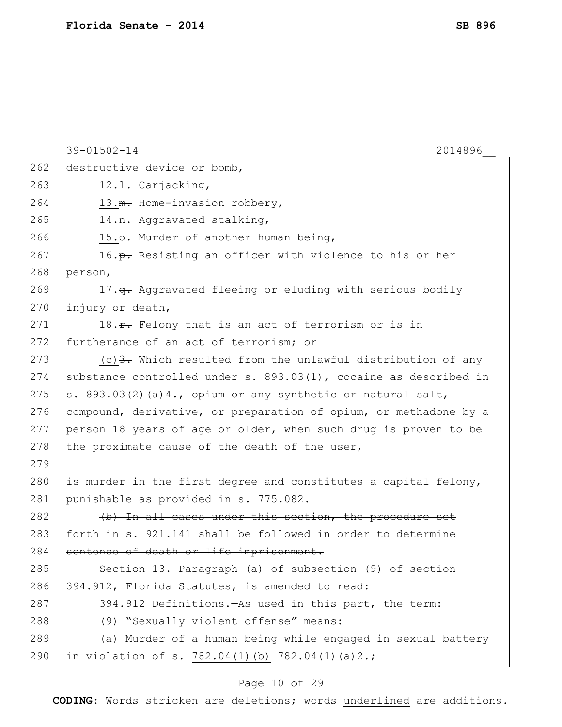|     | $39 - 01502 - 14$<br>2014896                                             |
|-----|--------------------------------------------------------------------------|
| 262 | destructive device or bomb,                                              |
| 263 | $12.\pm$ . Carjacking,                                                   |
| 264 | 13. m. Home-invasion robbery,                                            |
| 265 | 14. <del>n.</del> Aggravated stalking,                                   |
| 266 | 15.0. Murder of another human being,                                     |
| 267 | 16. <del>p.</del> Resisting an officer with violence to his or her       |
| 268 | person,                                                                  |
| 269 | 17. <del>q.</del> Aggravated fleeing or eluding with serious bodily      |
| 270 | injury or death,                                                         |
| 271 | 18. <del>r.</del> Felony that is an act of terrorism or is in            |
| 272 | furtherance of an act of terrorism; or                                   |
| 273 | (c) $\frac{3}{2}$ . Which resulted from the unlawful distribution of any |
| 274 | substance controlled under s. $893.03(1)$ , cocaine as described in      |
| 275 | s. $893.03(2)$ (a) 4., opium or any synthetic or natural salt,           |
| 276 | compound, derivative, or preparation of opium, or methadone by a         |
| 277 | person 18 years of age or older, when such drug is proven to be          |
| 278 | the proximate cause of the death of the user,                            |
| 279 |                                                                          |
| 280 | is murder in the first degree and constitutes a capital felony,          |
| 281 | punishable as provided in s. 775.082.                                    |
| 282 | (b) In all cases under this section, the procedure set                   |
| 283 | forth in s. 921.141 shall be followed in order to determine              |
| 284 | sentence of death or life imprisonment.                                  |
| 285 | Section 13. Paragraph (a) of subsection (9) of section                   |
| 286 | 394.912, Florida Statutes, is amended to read:                           |
| 287 | 394.912 Definitions. As used in this part, the term:                     |
| 288 | (9) "Sexually violent offense" means:                                    |
| 289 | (a) Murder of a human being while engaged in sexual battery              |
| 290 | in violation of s. 782.04(1)(b) 782.04(1)(a)2.;                          |
|     |                                                                          |

# Page 10 of 29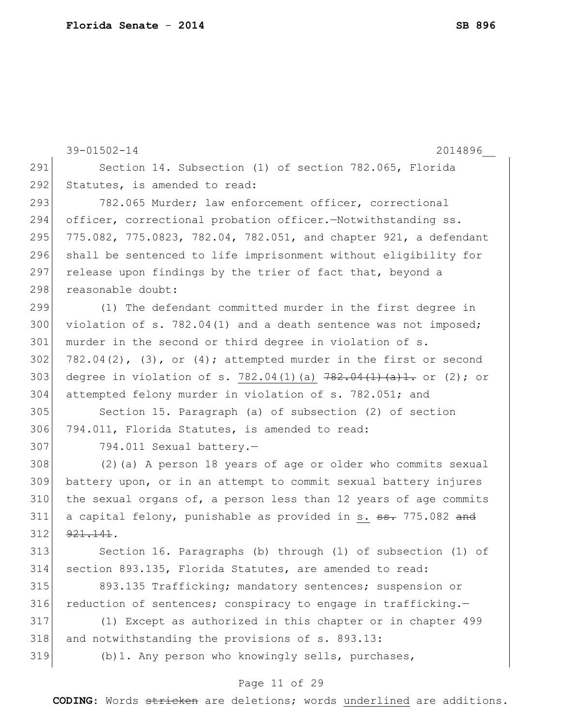|     | $39 - 01502 - 14$<br>2014896                                              |
|-----|---------------------------------------------------------------------------|
| 291 | Section 14. Subsection (1) of section 782.065, Florida                    |
| 292 | Statutes, is amended to read:                                             |
| 293 | 782.065 Murder; law enforcement officer, correctional                     |
| 294 | officer, correctional probation officer. - Notwithstanding ss.            |
| 295 | 775.082, 775.0823, 782.04, 782.051, and chapter 921, a defendant          |
| 296 | shall be sentenced to life imprisonment without eligibility for           |
| 297 | release upon findings by the trier of fact that, beyond a                 |
| 298 | reasonable doubt:                                                         |
| 299 | (1) The defendant committed murder in the first degree in                 |
| 300 | violation of s. 782.04(1) and a death sentence was not imposed;           |
| 301 | murder in the second or third degree in violation of s.                   |
| 302 | $782.04(2)$ , (3), or (4); attempted murder in the first or second        |
| 303 | degree in violation of s. 782.04(1)(a) $782.04(1)$ (a) 1. or (2); or      |
| 304 | attempted felony murder in violation of s. 782.051; and                   |
| 305 | Section 15. Paragraph (a) of subsection (2) of section                    |
| 306 | 794.011, Florida Statutes, is amended to read:                            |
| 307 | 794.011 Sexual battery.-                                                  |
| 308 | (2) (a) A person 18 years of age or older who commits sexual              |
| 309 | battery upon, or in an attempt to commit sexual battery injures           |
| 310 | the sexual organs of, a person less than 12 years of age commits          |
| 311 | a capital felony, punishable as provided in s. <del>ss.</del> 775.082 and |
| 312 | 921, 141.                                                                 |
| 313 | Section 16. Paragraphs (b) through (1) of subsection (1) of               |
| 314 | section 893.135, Florida Statutes, are amended to read:                   |
| 315 | 893.135 Trafficking; mandatory sentences; suspension or                   |
| 316 | reduction of sentences; conspiracy to engage in trafficking.-             |
| 317 | (1) Except as authorized in this chapter or in chapter 499                |
| 318 | and notwithstanding the provisions of s. 893.13:                          |
| 319 | (b) 1. Any person who knowingly sells, purchases,                         |
|     | Page 11 of 29                                                             |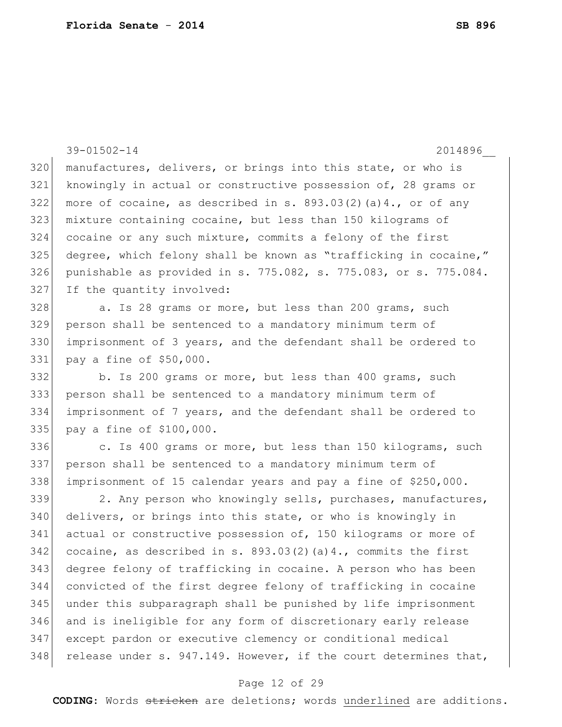|     | $39 - 01502 - 14$<br>2014896                                      |
|-----|-------------------------------------------------------------------|
| 320 | manufactures, delivers, or brings into this state, or who is      |
| 321 | knowingly in actual or constructive possession of, 28 grams or    |
| 322 | more of cocaine, as described in s. $893.03(2)(a)4.$ , or of any  |
| 323 | mixture containing cocaine, but less than 150 kilograms of        |
| 324 | cocaine or any such mixture, commits a felony of the first        |
| 325 | degree, which felony shall be known as "trafficking in cocaine,"  |
| 326 | punishable as provided in s. 775.082, s. 775.083, or s. 775.084.  |
| 327 | If the quantity involved:                                         |
| 328 | a. Is 28 grams or more, but less than 200 grams, such             |
| 329 | person shall be sentenced to a mandatory minimum term of          |
| 330 | imprisonment of 3 years, and the defendant shall be ordered to    |
| 331 | pay a fine of \$50,000.                                           |
| 332 | b. Is 200 grams or more, but less than 400 grams, such            |
| 333 | person shall be sentenced to a mandatory minimum term of          |
| 334 | imprisonment of 7 years, and the defendant shall be ordered to    |
| 335 | pay a fine of \$100,000.                                          |
| 336 | c. Is 400 grams or more, but less than 150 kilograms, such        |
| 337 | person shall be sentenced to a mandatory minimum term of          |
| 338 | imprisonment of 15 calendar years and pay a fine of \$250,000.    |
| 339 | 2. Any person who knowingly sells, purchases, manufactures,       |
| 340 | delivers, or brings into this state, or who is knowingly in       |
| 341 | actual or constructive possession of, 150 kilograms or more of    |
| 342 | cocaine, as described in s. $893.03(2)$ (a) 4., commits the first |
| 343 | degree felony of trafficking in cocaine. A person who has been    |
| 344 | convicted of the first degree felony of trafficking in cocaine    |
| 345 | under this subparagraph shall be punished by life imprisonment    |
| 346 | and is ineligible for any form of discretionary early release     |
| 347 | except pardon or executive clemency or conditional medical        |
| 348 | release under s. 947.149. However, if the court determines that,  |

# Page 12 of 29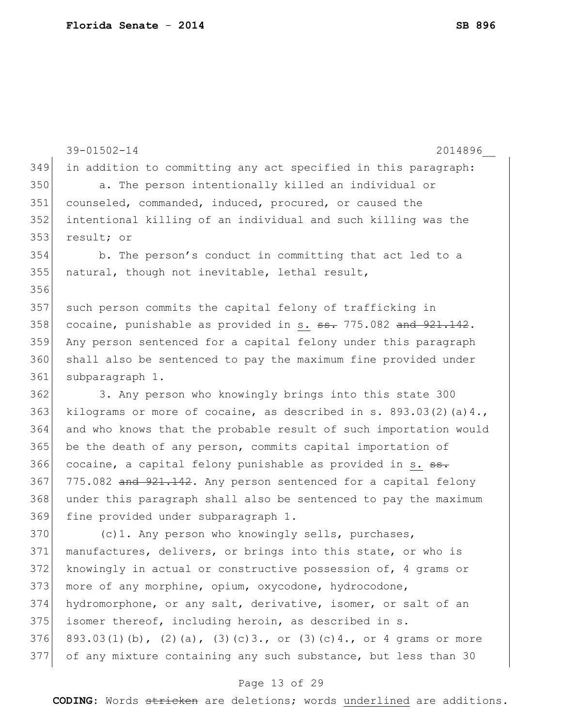```
39-01502-14 2014896__
349 in addition to committing any act specified in this paragraph:
350 a. The person intentionally killed an individual or 
351 counseled, commanded, induced, procured, or caused the 
352 intentional killing of an individual and such killing was the 
353 result; or
354 b. The person's conduct in committing that act led to a 
355 natural, though not inevitable, lethal result,
356
357 such person commits the capital felony of trafficking in 
358 cocaine, punishable as provided in s. \texttt{s}. 775.082 and 921.142.
359 Any person sentenced for a capital felony under this paragraph 
360 shall also be sentenced to pay the maximum fine provided under 
361 subparagraph 1.
362 3. Any person who knowingly brings into this state 300 
363 kilograms or more of cocaine, as described in s. 893.03(2)(a)4.,
364 and who knows that the probable result of such importation would 
365 be the death of any person, commits capital importation of 
366 cocaine, a capital felony punishable as provided in s. \frac{1}{100}.
367 775.082 and 921.142. Any person sentenced for a capital felony
368 under this paragraph shall also be sentenced to pay the maximum 
369 fine provided under subparagraph 1.
370 (c)1. Any person who knowingly sells, purchases,
371 manufactures, delivers, or brings into this state, or who is
372 knowingly in actual or constructive possession of, 4 grams or 
373 more of any morphine, opium, oxycodone, hydrocodone,
374 hydromorphone, or any salt, derivative, isomer, or salt of an 
375 isomer thereof, including heroin, as described in s. 
376 893.03(1)(b), (2)(a), (3)(c)3., or (3)(c)4., or 4 grams or more
377 of any mixture containing any such substance, but less than 30
```
#### Page 13 of 29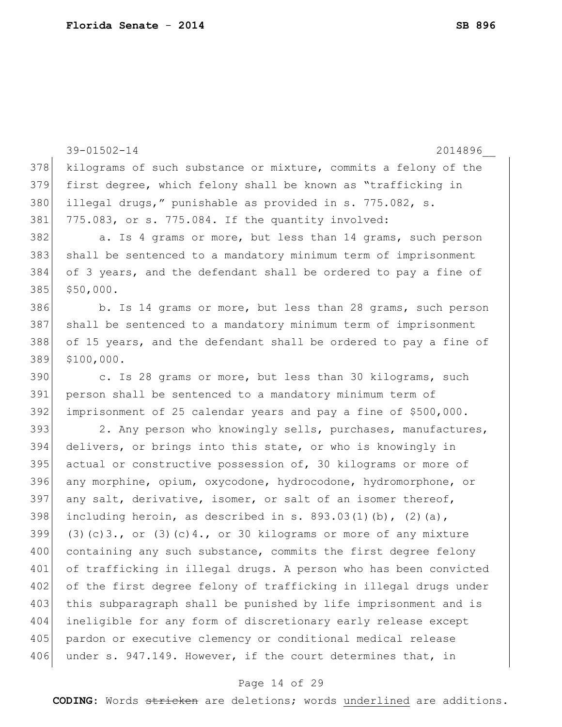39-01502-14 2014896\_\_ 378 kilograms of such substance or mixture, commits a felony of the 379 first degree, which felony shall be known as "trafficking in 380 illegal drugs," punishable as provided in s. 775.082, s. 381 775.083, or s. 775.084. If the quantity involved: 382 a. Is 4 grams or more, but less than 14 grams, such person 383 shall be sentenced to a mandatory minimum term of imprisonment 384 of 3 years, and the defendant shall be ordered to pay a fine of 385 \$50,000. 386 b. Is 14 grams or more, but less than 28 grams, such person 387 shall be sentenced to a mandatory minimum term of imprisonment 388 of 15 years, and the defendant shall be ordered to pay a fine of 389 \$100,000. 390 c. Is 28 grams or more, but less than 30 kilograms, such 391 person shall be sentenced to a mandatory minimum term of 392 imprisonment of 25 calendar years and pay a fine of \$500,000. 393 2. Any person who knowingly sells, purchases, manufactures, 394 delivers, or brings into this state, or who is knowingly in 395 actual or constructive possession of, 30 kilograms or more of 396 any morphine, opium, oxycodone, hydrocodone, hydromorphone, or 397 any salt, derivative, isomer, or salt of an isomer thereof, 398 including heroin, as described in s. 893.03(1)(b), (2)(a), 399 (3)(c)3., or (3)(c)4., or 30 kilograms or more of any mixture  $400$  containing any such substance, commits the first degree felony 401 of trafficking in illegal drugs. A person who has been convicted 402 of the first degree felony of trafficking in illegal drugs under 403 this subparagraph shall be punished by life imprisonment and is 404 ineligible for any form of discretionary early release except 405 pardon or executive clemency or conditional medical release 406 under s. 947.149. However, if the court determines that, in

### Page 14 of 29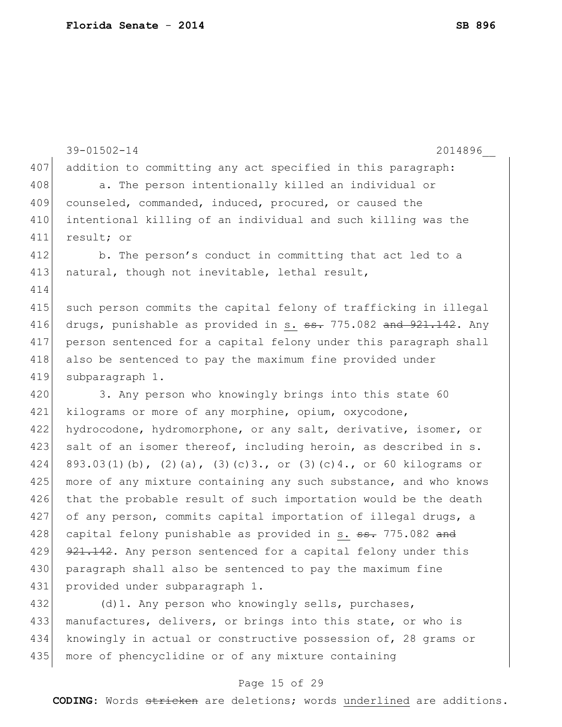```
39-01502-14 2014896__
407 addition to committing any act specified in this paragraph:
408 a. The person intentionally killed an individual or
409 counseled, commanded, induced, procured, or caused the
410 intentional killing of an individual and such killing was the 
411 result; or
412 b. The person's conduct in committing that act led to a
413 natural, though not inevitable, lethal result,
414
415 such person commits the capital felony of trafficking in illegal
416 drugs, punishable as provided in s. \texttt{ss. 775.082} and 921.142. Any
417 person sentenced for a capital felony under this paragraph shall 
418 also be sentenced to pay the maximum fine provided under
419 subparagraph 1.
420 3. Any person who knowingly brings into this state 60
421 kilograms or more of any morphine, opium, oxycodone, 
422 hydrocodone, hydromorphone, or any salt, derivative, isomer, or
423 salt of an isomer thereof, including heroin, as described in s.
424 893.03(1)(b), (2)(a), (3)(c)3., or (3)(c)4., or 60 kilograms or
425 more of any mixture containing any such substance, and who knows
426 that the probable result of such importation would be the death
427 of any person, commits capital importation of illegal drugs, a 
428 capital felony punishable as provided in s. <del>ss.</del> 775.082 and
429 921.142. Any person sentenced for a capital felony under this
430 paragraph shall also be sentenced to pay the maximum fine
431 provided under subparagraph 1.
432 (d)1. Any person who knowingly sells, purchases,
433 manufactures, delivers, or brings into this state, or who is
```
434 knowingly in actual or constructive possession of, 28 grams or 435 more of phencyclidine or of any mixture containing

#### Page 15 of 29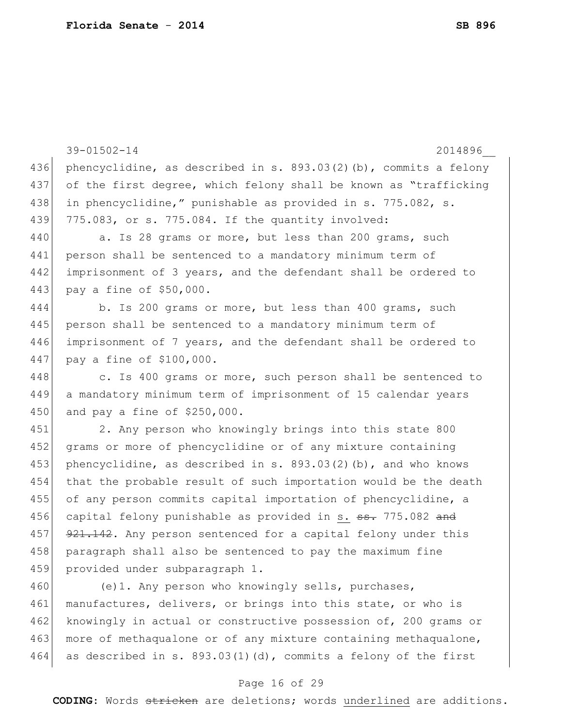39-01502-14 2014896\_\_ 436 phencyclidine, as described in s. 893.03(2)(b), commits a felony 437 of the first degree, which felony shall be known as "trafficking 438 in phencyclidine," punishable as provided in s. 775.082, s. 439 775.083, or s. 775.084. If the quantity involved: 440 a. Is 28 grams or more, but less than 200 grams, such 441 person shall be sentenced to a mandatory minimum term of 442 imprisonment of 3 years, and the defendant shall be ordered to 443 pay a fine of \$50,000. 444 b. Is 200 grams or more, but less than 400 grams, such 445 person shall be sentenced to a mandatory minimum term of 446 imprisonment of 7 years, and the defendant shall be ordered to 447 pay a fine of \$100,000. 448 c. Is 400 grams or more, such person shall be sentenced to 449 a mandatory minimum term of imprisonment of 15 calendar years 450 and pay a fine of \$250,000. 451 2. Any person who knowingly brings into this state 800 452 grams or more of phencyclidine or of any mixture containing 453 phencyclidine, as described in s. 893.03(2)(b), and who knows 454 that the probable result of such importation would be the death 455 of any person commits capital importation of phencyclidine, a 456 capital felony punishable as provided in s.  $\frac{1}{10}$  775.082 and 457 921.142. Any person sentenced for a capital felony under this 458 paragraph shall also be sentenced to pay the maximum fine 459 provided under subparagraph 1. 460 (e)1. Any person who knowingly sells, purchases, 461 manufactures, delivers, or brings into this state, or who is 462 knowingly in actual or constructive possession of, 200 grams or 463 more of methaqualone or of any mixture containing methaqualone,

#### Page 16 of 29

464 as described in s. 893.03(1)(d), commits a felony of the first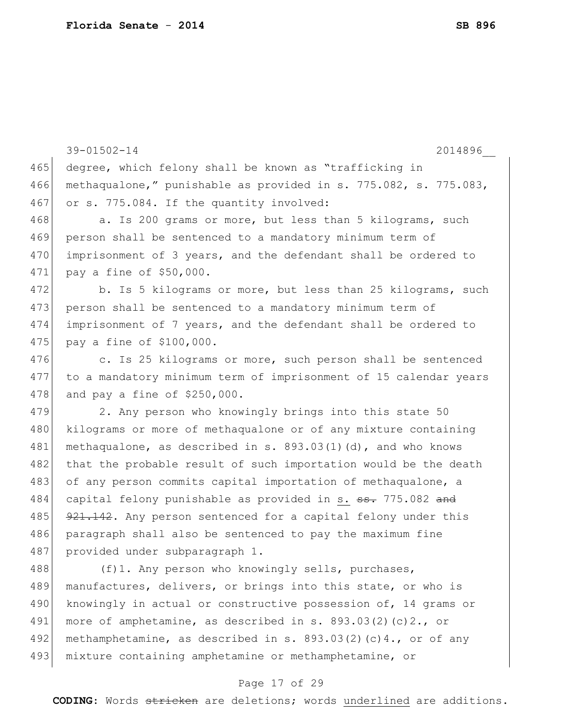|     | $39 - 01502 - 14$<br>2014896                                           |
|-----|------------------------------------------------------------------------|
| 465 | degree, which felony shall be known as "trafficking in                 |
| 466 | methaqualone," punishable as provided in s. 775.082, s. 775.083,       |
| 467 | or s. 775.084. If the quantity involved:                               |
| 468 | a. Is 200 grams or more, but less than 5 kilograms, such               |
| 469 | person shall be sentenced to a mandatory minimum term of               |
| 470 | imprisonment of 3 years, and the defendant shall be ordered to         |
| 471 | pay a fine of \$50,000.                                                |
| 472 | b. Is 5 kilograms or more, but less than 25 kilograms, such            |
| 473 | person shall be sentenced to a mandatory minimum term of               |
| 474 | imprisonment of 7 years, and the defendant shall be ordered to         |
| 475 | pay a fine of \$100,000.                                               |
| 476 | c. Is 25 kilograms or more, such person shall be sentenced             |
| 477 | to a mandatory minimum term of imprisonment of 15 calendar years       |
| 478 | and pay a fine of $$250,000$ .                                         |
| 479 | 2. Any person who knowingly brings into this state 50                  |
| 480 | kilograms or more of methaqualone or of any mixture containing         |
| 481 | methaqualone, as described in s. $893.03(1)(d)$ , and who knows        |
| 482 | that the probable result of such importation would be the death        |
| 483 | of any person commits capital importation of methaqualone, a           |
| 484 | capital felony punishable as provided in s. <del>ss.</del> 775.082 and |
| 485 | 921.142. Any person sentenced for a capital felony under this          |
| 486 | paragraph shall also be sentenced to pay the maximum fine              |
| 487 | provided under subparagraph 1.                                         |
| 488 | (f)1. Any person who knowingly sells, purchases,                       |
| 489 | manufactures, delivers, or brings into this state, or who is           |
| 490 | knowingly in actual or constructive possession of, 14 grams or         |
| 491 | more of amphetamine, as described in s. $893.03(2)(c)2.,$ or           |
| 492 | methamphetamine, as described in s. $893.03(2)(c)4.$ , or of any       |
| 493 | mixture containing amphetamine or methamphetamine, or                  |

# Page 17 of 29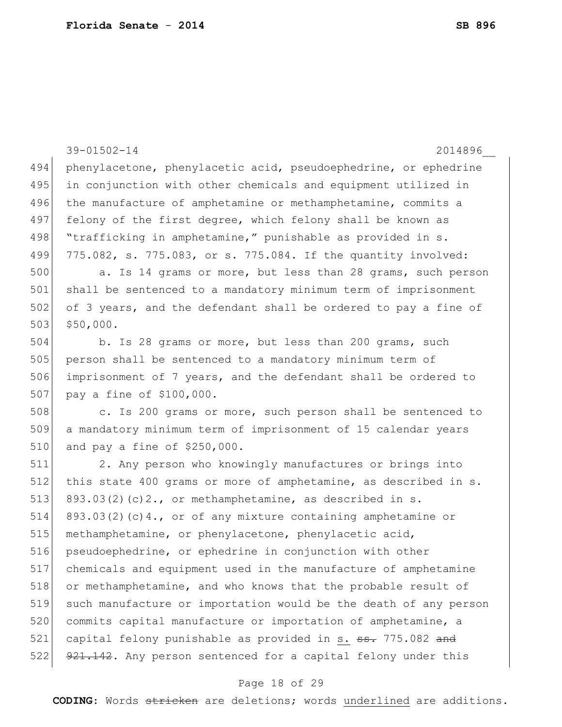|     | $39 - 01502 - 14$<br>2014896                                           |
|-----|------------------------------------------------------------------------|
| 494 | phenylacetone, phenylacetic acid, pseudoephedrine, or ephedrine        |
| 495 | in conjunction with other chemicals and equipment utilized in          |
| 496 | the manufacture of amphetamine or methamphetamine, commits a           |
| 497 | felony of the first degree, which felony shall be known as             |
| 498 | "trafficking in amphetamine," punishable as provided in s.             |
| 499 | 775.082, s. 775.083, or s. 775.084. If the quantity involved:          |
| 500 | a. Is 14 grams or more, but less than 28 grams, such person            |
| 501 | shall be sentenced to a mandatory minimum term of imprisonment         |
| 502 | of 3 years, and the defendant shall be ordered to pay a fine of        |
| 503 | \$50,000.                                                              |
| 504 | b. Is 28 grams or more, but less than 200 grams, such                  |
| 505 | person shall be sentenced to a mandatory minimum term of               |
| 506 | imprisonment of 7 years, and the defendant shall be ordered to         |
| 507 | pay a fine of \$100,000.                                               |
| 508 | c. Is 200 grams or more, such person shall be sentenced to             |
| 509 | a mandatory minimum term of imprisonment of 15 calendar years          |
| 510 | and pay a fine of $$250,000$ .                                         |
| 511 | 2. Any person who knowingly manufactures or brings into                |
| 512 | this state 400 grams or more of amphetamine, as described in s.        |
| 513 | $893.03(2)$ (c) $2.$ , or methamphetamine, as described in s.          |
| 514 | 893.03(2)(c)4., or of any mixture containing amphetamine or            |
| 515 | methamphetamine, or phenylacetone, phenylacetic acid,                  |
| 516 | pseudoephedrine, or ephedrine in conjunction with other                |
| 517 | chemicals and equipment used in the manufacture of amphetamine         |
| 518 | or methamphetamine, and who knows that the probable result of          |
| 519 | such manufacture or importation would be the death of any person       |
| 520 | commits capital manufacture or importation of amphetamine, a           |
| 521 | capital felony punishable as provided in s. <del>ss.</del> 775.082 and |
| 522 | 921.142. Any person sentenced for a capital felony under this          |

# Page 18 of 29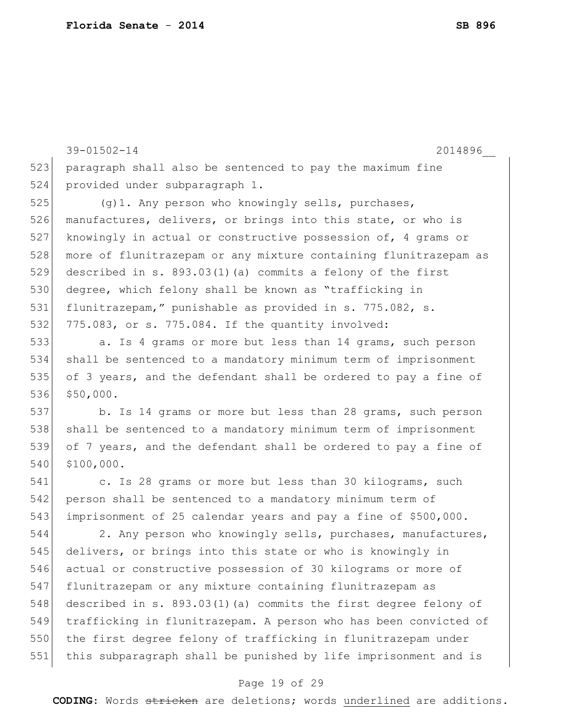paragraph shall also be sentenced to pay the maximum fine provided under subparagraph 1. 525 (g)1. Any person who knowingly sells, purchases, manufactures, delivers, or brings into this state, or who is knowingly in actual or constructive possession of, 4 grams or more of flunitrazepam or any mixture containing flunitrazepam as described in s. 893.03(1)(a) commits a felony of the first degree, which felony shall be known as "trafficking in flunitrazepam," punishable as provided in s. 775.082, s. 532 775.083, or s. 775.084. If the quantity involved: 533 a. Is 4 grams or more but less than 14 grams, such person shall be sentenced to a mandatory minimum term of imprisonment of 3 years, and the defendant shall be ordered to pay a fine of \$50,000. b. Is 14 grams or more but less than 28 grams, such person 538 shall be sentenced to a mandatory minimum term of imprisonment of 7 years, and the defendant shall be ordered to pay a fine of \$100,000. c. Is 28 grams or more but less than 30 kilograms, such 542 person shall be sentenced to a mandatory minimum term of imprisonment of 25 calendar years and pay a fine of \$500,000. 544 2. Any person who knowingly sells, purchases, manufactures, 545 delivers, or brings into this state or who is knowingly in actual or constructive possession of 30 kilograms or more of flunitrazepam or any mixture containing flunitrazepam as 548 described in s. 893.03(1)(a) commits the first degree felony of trafficking in flunitrazepam. A person who has been convicted of the first degree felony of trafficking in flunitrazepam under this subparagraph shall be punished by life imprisonment and is

39-01502-14 2014896\_\_

### Page 19 of 29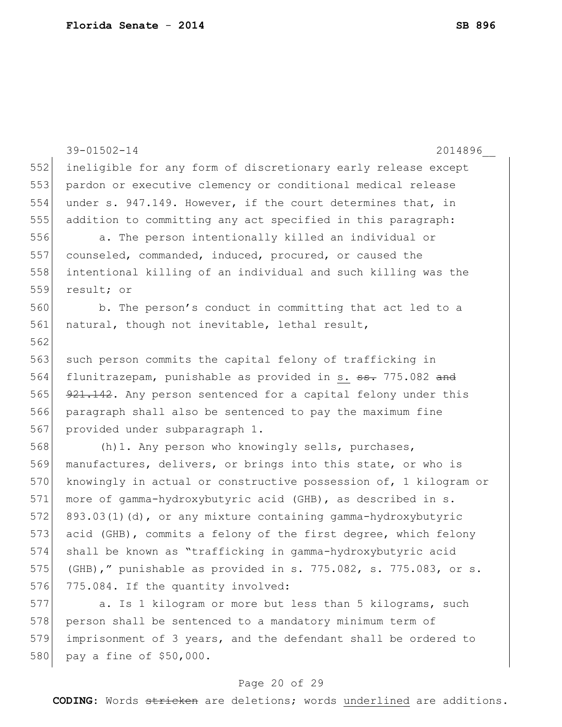580 pay a fine of \$50,000.

```
39-01502-14 2014896__
552 ineligible for any form of discretionary early release except 
553 pardon or executive clemency or conditional medical release 
554 under s. 947.149. However, if the court determines that, in 
555 addition to committing any act specified in this paragraph:
556 a. The person intentionally killed an individual or
557 counseled, commanded, induced, procured, or caused the 
558 intentional killing of an individual and such killing was the 
559 result; or
560 b. The person's conduct in committing that act led to a 
561 natural, though not inevitable, lethal result,
562
563 such person commits the capital felony of trafficking in
564 flunitrazepam, punishable as provided in s. ss. 775.082 and
565 921.142. Any person sentenced for a capital felony under this
566 paragraph shall also be sentenced to pay the maximum fine 
567 provided under subparagraph 1.
568 (h)1. Any person who knowingly sells, purchases,
569 manufactures, delivers, or brings into this state, or who is
570 knowingly in actual or constructive possession of, 1 kilogram or
571 more of gamma-hydroxybutyric acid (GHB), as described in s.
572 893.03(1)(d), or any mixture containing gamma-hydroxybutyric 
573 acid (GHB), commits a felony of the first degree, which felony 
574 shall be known as "trafficking in gamma-hydroxybutyric acid 
575 (GHB)," punishable as provided in s. 775.082, s. 775.083, or s. 
576 775.084. If the quantity involved:
577 a. Is 1 kilogram or more but less than 5 kilograms, such
578 person shall be sentenced to a mandatory minimum term of
579 imprisonment of 3 years, and the defendant shall be ordered to
```

```
Page 20 of 29
```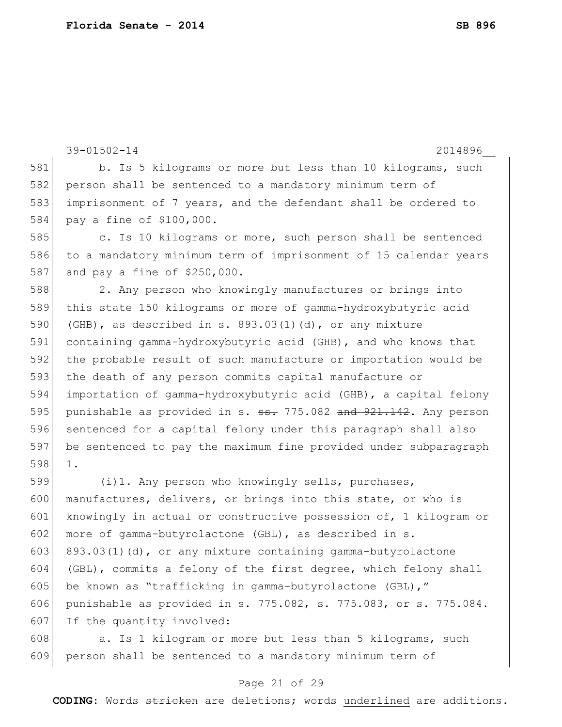|     | $39 - 01502 - 14$<br>2014896                                     |
|-----|------------------------------------------------------------------|
| 581 | b. Is 5 kilograms or more but less than 10 kilograms, such       |
| 582 | person shall be sentenced to a mandatory minimum term of         |
| 583 | imprisonment of 7 years, and the defendant shall be ordered to   |
| 584 | pay a fine of \$100,000.                                         |
| 585 | c. Is 10 kilograms or more, such person shall be sentenced       |
| 586 | to a mandatory minimum term of imprisonment of 15 calendar years |
| 587 | and pay a fine of $$250,000$ .                                   |
| 588 | 2. Any person who knowingly manufactures or brings into          |
| 589 | this state 150 kilograms or more of gamma-hydroxybutyric acid    |
| 590 | (GHB), as described in s. $893.03(1)(d)$ , or any mixture        |
| 591 | containing gamma-hydroxybutyric acid (GHB), and who knows that   |
| 592 | the probable result of such manufacture or importation would be  |
| 593 | the death of any person commits capital manufacture or           |
| 594 | importation of gamma-hydroxybutyric acid (GHB), a capital felony |
| 595 | punishable as provided in s. ss. 775.082 and 921.142. Any person |
| 596 | sentenced for a capital felony under this paragraph shall also   |
| 597 | be sentenced to pay the maximum fine provided under subparagraph |
| 598 | $1$ .                                                            |
| 599 | (i) 1. Any person who knowingly sells, purchases,                |
| 600 | manufactures, delivers, or brings into this state, or who is     |
| 601 | knowingly in actual or constructive possession of, 1 kilogram or |
| 602 | more of gamma-butyrolactone (GBL), as described in s.            |
| 603 | $893.03(1)$ (d), or any mixture containing gamma-butyrolactone   |
| 604 | (GBL), commits a felony of the first degree, which felony shall  |
| 605 | be known as "trafficking in gamma-butyrolactone (GBL),"          |
| 606 | punishable as provided in s. 775.082, s. 775.083, or s. 775.084. |
| 607 | If the quantity involved:                                        |
| 608 | a. Is 1 kilogram or more but less than 5 kilograms, such         |
| 609 | person shall be sentenced to a mandatory minimum term of         |

### Page 21 of 29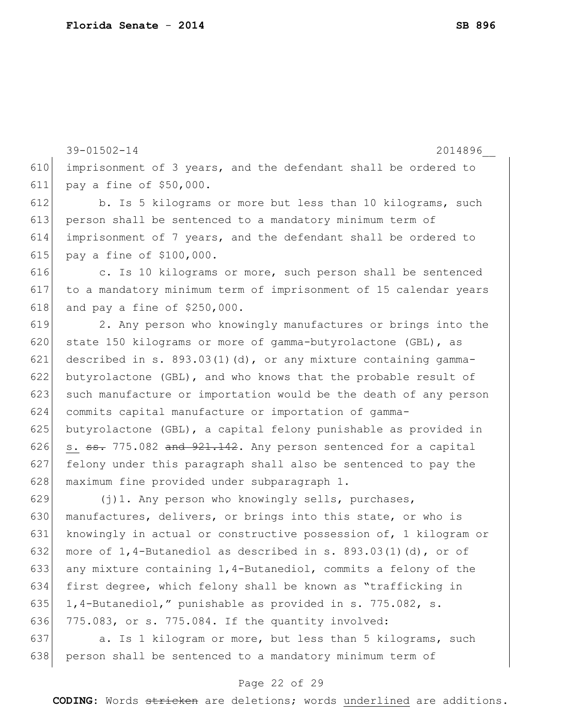39-01502-14 2014896\_\_ 610 imprisonment of 3 years, and the defendant shall be ordered to 611 pay a fine of \$50,000. 612 b. Is 5 kilograms or more but less than 10 kilograms, such 613 person shall be sentenced to a mandatory minimum term of 614 imprisonment of 7 years, and the defendant shall be ordered to 615 pay a fine of \$100,000. 616 616 c. Is 10 kilograms or more, such person shall be sentenced 617 to a mandatory minimum term of imprisonment of 15 calendar years 618 and pay a fine of  $$250,000$ . 619 2. Any person who knowingly manufactures or brings into the 620 state 150 kilograms or more of gamma-butyrolactone (GBL), as 621 described in s.  $893.03(1)(d)$ , or any mixture containing gamma-622 butyrolactone (GBL), and who knows that the probable result of 623 such manufacture or importation would be the death of any person 624 commits capital manufacture or importation of gamma-625 butyrolactone (GBL), a capital felony punishable as provided in 626 s.  $\frac{1}{25}$ , 775.082 and  $\frac{921.142}{25}$ . Any person sentenced for a capital 627 felony under this paragraph shall also be sentenced to pay the 628 maximum fine provided under subparagraph 1. 629  $(j)$ 1. Any person who knowingly sells, purchases, 630 manufactures, delivers, or brings into this state, or who is 631 knowingly in actual or constructive possession of, 1 kilogram or 632 more of  $1,4$ -Butanediol as described in s. 893.03(1)(d), or of 633 any mixture containing 1,4-Butanediol, commits a felony of the 634 first degree, which felony shall be known as "trafficking in 635 1,4-Butanediol," punishable as provided in s. 775.082, s. 636 775.083, or s. 775.084. If the quantity involved:

637 a. Is 1 kilogram or more, but less than 5 kilograms, such 638 | person shall be sentenced to a mandatory minimum term of

### Page 22 of 29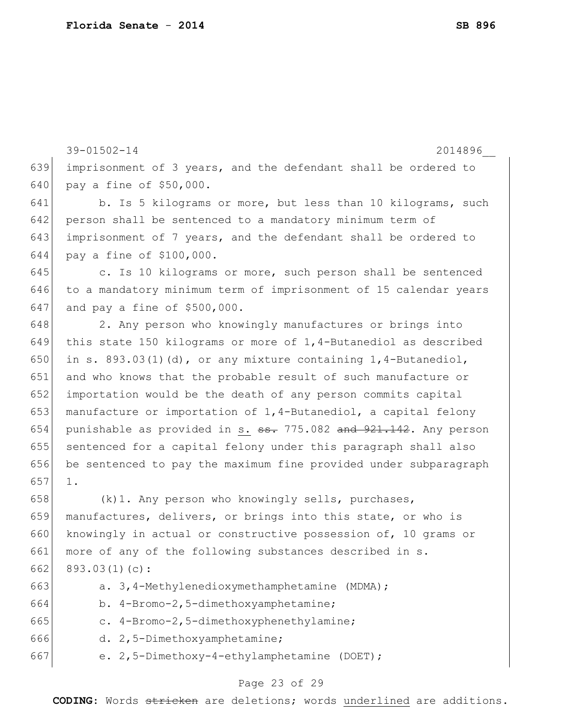39-01502-14 2014896\_\_ 639 imprisonment of 3 years, and the defendant shall be ordered to 640 pay a fine of \$50,000. 641 b. Is 5 kilograms or more, but less than 10 kilograms, such 642 person shall be sentenced to a mandatory minimum term of 643 imprisonment of 7 years, and the defendant shall be ordered to 644 pay a fine of \$100,000. 645 c. Is 10 kilograms or more, such person shall be sentenced 646 to a mandatory minimum term of imprisonment of 15 calendar years 647 and pay a fine of \$500,000. 648 2. Any person who knowingly manufactures or brings into 649 this state 150 kilograms or more of 1,4-Butanediol as described 650 in s. 893.03(1)(d), or any mixture containing  $1, 4$ -Butanediol, 651 and who knows that the probable result of such manufacture or 652 importation would be the death of any person commits capital 653 manufacture or importation of  $1, 4$ -Butanediol, a capital felony 654 punishable as provided in s.  $\frac{1}{100}$  = 775.082 and  $\frac{1}{100}$  = 7142. Any person 655 sentenced for a capital felony under this paragraph shall also 656 be sentenced to pay the maximum fine provided under subparagraph 657 1. 658  $(k)$ 1. Any person who knowingly sells, purchases, 659 manufactures, delivers, or brings into this state, or who is 660 knowingly in actual or constructive possession of, 10 grams or 661 more of any of the following substances described in s. 662 893.03 $(1)(c)$ : 663 a. 3,4-Methylenedioxymethamphetamine (MDMA); 664 b. 4-Bromo-2,5-dimethoxyamphetamine; 665 c. 4-Bromo-2,5-dimethoxyphenethylamine; 666 d. 2,5-Dimethoxyamphetamine; 667 e.  $2,5$ -Dimethoxy-4-ethylamphetamine (DOET);

#### Page 23 of 29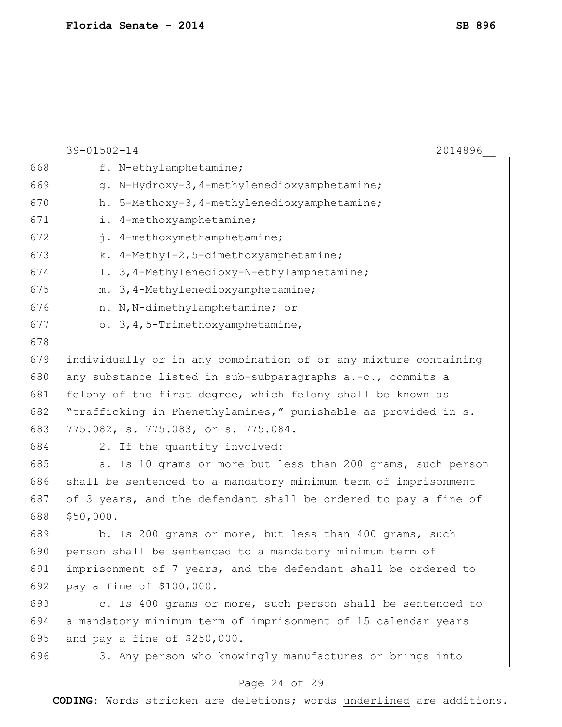|     | $39 - 01502 - 14$<br>2014896                                    |
|-----|-----------------------------------------------------------------|
| 668 | f. N-ethylamphetamine;                                          |
| 669 | g. N-Hydroxy-3, 4-methylenedioxyamphetamine;                    |
| 670 | h. 5-Methoxy-3, 4-methylenedioxyamphetamine;                    |
| 671 | i. 4-methoxyamphetamine;                                        |
| 672 | j. 4-methoxymethamphetamine;                                    |
| 673 | k. 4-Methyl-2, 5-dimethoxyamphetamine;                          |
| 674 | 1. 3, 4-Methylenedioxy-N-ethylamphetamine;                      |
| 675 | m. 3, 4-Methylenedioxyamphetamine;                              |
| 676 | n. N, N-dimethylamphetamine; or                                 |
| 677 | o. 3, 4, 5-Trimethoxyamphetamine,                               |
| 678 |                                                                 |
| 679 | individually or in any combination of or any mixture containing |
| 680 | any substance listed in sub-subparagraphs a.-o., commits a      |
| 681 | felony of the first degree, which felony shall be known as      |
| 682 | "trafficking in Phenethylamines," punishable as provided in s.  |
| 683 | 775.082, s. 775.083, or s. 775.084.                             |
| 684 | 2. If the quantity involved:                                    |
| 685 | a. Is 10 grams or more but less than 200 grams, such person     |
| 686 | shall be sentenced to a mandatory minimum term of imprisonment  |
| 687 | of 3 years, and the defendant shall be ordered to pay a fine of |
| 688 | \$50,000.                                                       |
| 689 | b. Is 200 grams or more, but less than 400 grams, such          |
| 690 | person shall be sentenced to a mandatory minimum term of        |
| 691 | imprisonment of 7 years, and the defendant shall be ordered to  |
| 692 | pay a fine of \$100,000.                                        |
| 693 | c. Is 400 grams or more, such person shall be sentenced to      |
| 694 | a mandatory minimum term of imprisonment of 15 calendar years   |
| 695 | and pay a fine of \$250,000.                                    |
| 696 | 3. Any person who knowingly manufactures or brings into         |
|     | Page 24 of 29                                                   |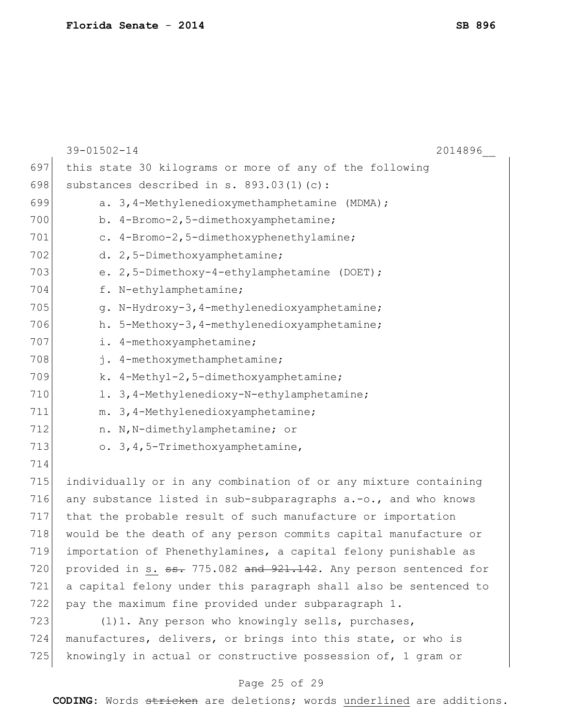|     | $39 - 01502 - 14$<br>2014896                                                |
|-----|-----------------------------------------------------------------------------|
| 697 | this state 30 kilograms or more of any of the following                     |
| 698 | substances described in s. 893.03(1)(c):                                    |
| 699 | a. 3,4-Methylenedioxymethamphetamine (MDMA);                                |
| 700 | b. 4-Bromo-2,5-dimethoxyamphetamine;                                        |
| 701 | c. 4-Bromo-2,5-dimethoxyphenethylamine;                                     |
| 702 | d. 2,5-Dimethoxyamphetamine;                                                |
| 703 | e. $2, 5$ -Dimethoxy-4-ethylamphetamine (DOET);                             |
| 704 | f. N-ethylamphetamine;                                                      |
| 705 | g. N-Hydroxy-3, 4-methylenedioxyamphetamine;                                |
| 706 | h. 5-Methoxy-3, 4-methylenedioxyamphetamine;                                |
| 707 | i. 4-methoxyamphetamine;                                                    |
| 708 | j. 4-methoxymethamphetamine;                                                |
| 709 | k. 4-Methyl-2, 5-dimethoxyamphetamine;                                      |
| 710 | 1. 3, 4-Methylenedioxy-N-ethylamphetamine;                                  |
| 711 | m. 3, 4-Methylenedioxyamphetamine;                                          |
| 712 | n. N, N-dimethylamphetamine; or                                             |
| 713 | o. 3, 4, 5-Trimethoxyamphetamine,                                           |
| 714 |                                                                             |
| 715 | individually or in any combination of or any mixture containing             |
| 716 | any substance listed in sub-subparagraphs a.-o., and who knows              |
| 717 | that the probable result of such manufacture or importation                 |
| 718 | would be the death of any person commits capital manufacture or             |
| 719 | importation of Phenethylamines, a capital felony punishable as              |
| 720 | provided in s. <del>ss.</del> 775.082 and 921.142. Any person sentenced for |
| 721 | a capital felony under this paragraph shall also be sentenced to            |
| 722 | pay the maximum fine provided under subparagraph 1.                         |
| 723 | (1)1. Any person who knowingly sells, purchases,                            |
| 724 | manufactures, delivers, or brings into this state, or who is                |
| 725 | knowingly in actual or constructive possession of, 1 gram or                |

# Page 25 of 29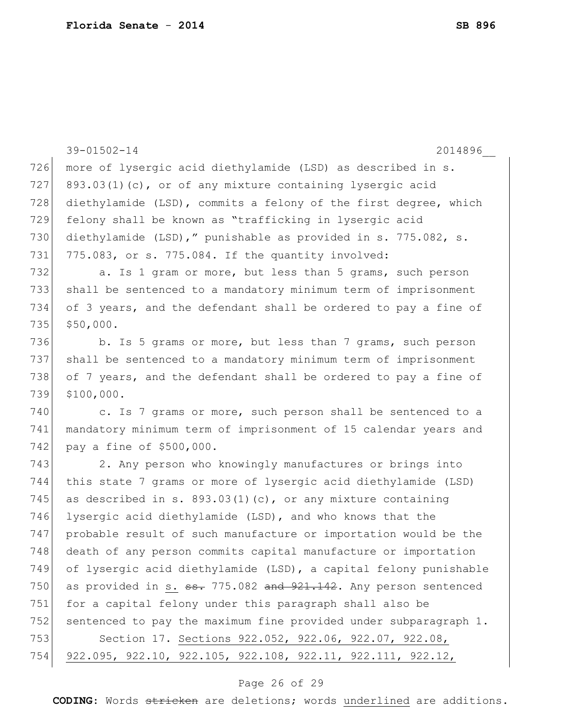|     | 39-01502-14<br>2014896                                                     |
|-----|----------------------------------------------------------------------------|
| 726 | more of lysergic acid diethylamide (LSD) as described in s.                |
| 727 | 893.03(1)(c), or of any mixture containing lysergic acid                   |
| 728 | diethylamide (LSD), commits a felony of the first degree, which            |
| 729 | felony shall be known as "trafficking in lysergic acid                     |
| 730 | diethylamide (LSD)," punishable as provided in s. 775.082, s.              |
| 731 | 775.083, or s. 775.084. If the quantity involved:                          |
| 732 | a. Is 1 gram or more, but less than 5 grams, such person                   |
| 733 | shall be sentenced to a mandatory minimum term of imprisonment             |
| 734 | of 3 years, and the defendant shall be ordered to pay a fine of            |
| 735 | \$50,000.                                                                  |
| 736 | b. Is 5 grams or more, but less than 7 grams, such person                  |
| 737 | shall be sentenced to a mandatory minimum term of imprisonment             |
| 738 | of 7 years, and the defendant shall be ordered to pay a fine of            |
| 739 | \$100,000.                                                                 |
| 740 | c. Is 7 grams or more, such person shall be sentenced to a                 |
| 741 | mandatory minimum term of imprisonment of 15 calendar years and            |
| 742 | pay a fine of \$500,000.                                                   |
| 743 | 2. Any person who knowingly manufactures or brings into                    |
| 744 | this state 7 grams or more of lysergic acid diethylamide (LSD)             |
| 745 | as described in s. $893.03(1)(c)$ , or any mixture containing              |
| 746 | lysergic acid diethylamide (LSD), and who knows that the                   |
| 747 | probable result of such manufacture or importation would be the            |
| 748 | death of any person commits capital manufacture or importation             |
| 749 | of lysergic acid diethylamide (LSD), a capital felony punishable           |
| 750 | as provided in s. <del>ss.</del> 775.082 and 921.142. Any person sentenced |
| 751 | for a capital felony under this paragraph shall also be                    |
| 752 | sentenced to pay the maximum fine provided under subparagraph 1.           |
| 753 | Section 17. Sections 922.052, 922.06, 922.07, 922.08,                      |
| 754 | 922.095, 922.10, 922.105, 922.108, 922.11, 922.111, 922.12,                |

# Page 26 of 29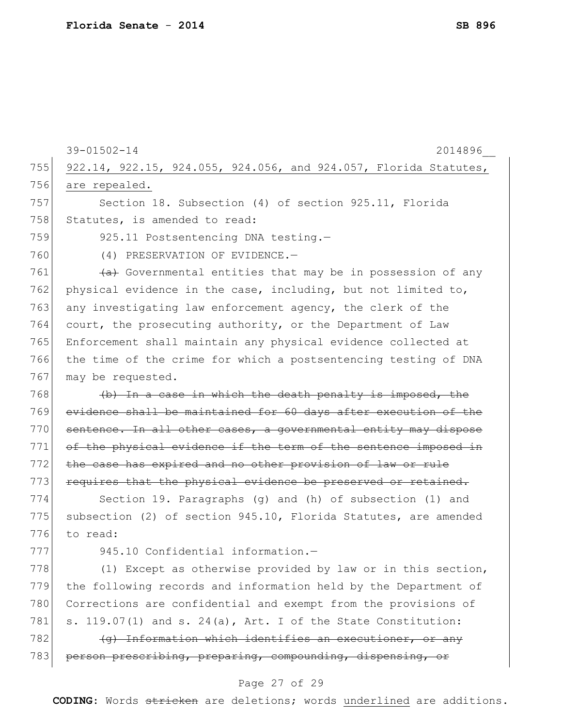|     | 39-01502-14<br>2014896                                           |
|-----|------------------------------------------------------------------|
| 755 | 922.14, 922.15, 924.055, 924.056, and 924.057, Florida Statutes, |
| 756 | are repealed.                                                    |
| 757 | Section 18. Subsection (4) of section 925.11, Florida            |
| 758 | Statutes, is amended to read:                                    |
| 759 | 925.11 Postsentencing DNA testing.-                              |
| 760 | (4) PRESERVATION OF EVIDENCE.-                                   |
| 761 | (a) Governmental entities that may be in possession of any       |
| 762 | physical evidence in the case, including, but not limited to,    |
| 763 | any investigating law enforcement agency, the clerk of the       |
| 764 | court, the prosecuting authority, or the Department of Law       |
| 765 | Enforcement shall maintain any physical evidence collected at    |
| 766 | the time of the crime for which a postsentencing testing of DNA  |
| 767 | may be requested.                                                |
| 768 | (b) In a case in which the death penalty is imposed, the         |
| 769 | evidence shall be maintained for 60 days after execution of the  |
| 770 | sentence. In all other cases, a governmental entity may dispose  |
| 771 | of the physical evidence if the term of the sentence imposed in  |
| 772 | the case has expired and no other provision of law or rule       |
| 773 | requires that the physical evidence be preserved or retained.    |
| 774 | Section 19. Paragraphs $(q)$ and $(h)$ of subsection $(1)$ and   |
| 775 | subsection (2) of section 945.10, Florida Statutes, are amended  |
| 776 | to read:                                                         |
| 777 | 945.10 Confidential information.-                                |
| 778 | (1) Except as otherwise provided by law or in this section,      |
| 779 | the following records and information held by the Department of  |
| 780 | Corrections are confidential and exempt from the provisions of   |
| 781 | s. 119.07(1) and s. 24(a), Art. I of the State Constitution:     |
| 782 | (g) Information which identifies an executioner, or any          |
| 783 | person prescribing, preparing, compounding, dispensing, or       |
|     | $\cap$ $\in$ $\cap$ $\cap$<br>ヘワ                                 |

#### Page 27 of 29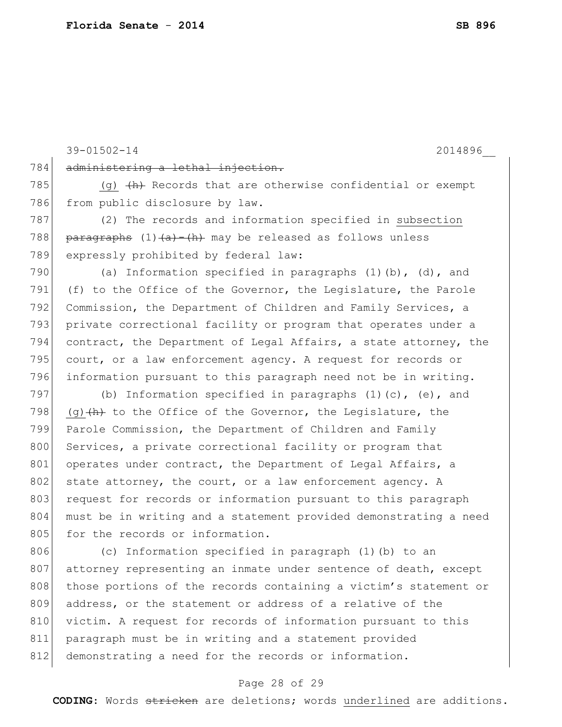39-01502-14 2014896\_\_ 784 administering a lethal injection. 785  $(q)$   $\frac{h}{h}$  Records that are otherwise confidential or exempt 786 from public disclosure by law. 787 (2) The records and information specified in subsection 788 paragraphs  $(1)$   $(a)$   $\rightarrow$   $(h)$  may be released as follows unless 789 expressly prohibited by federal law: 790 (a) Information specified in paragraphs  $(1)$  (b),  $(d)$ , and 791 (f) to the Office of the Governor, the Legislature, the Parole 792 Commission, the Department of Children and Family Services, a 793 private correctional facility or program that operates under a 794 contract, the Department of Legal Affairs, a state attorney, the 795 court, or a law enforcement agency. A request for records or 796 information pursuant to this paragraph need not be in writing. 797 (b) Information specified in paragraphs (1)(c), (e), and 798 (q) $\frac{h}{h}$  to the Office of the Governor, the Legislature, the 799 Parole Commission, the Department of Children and Family 800 Services, a private correctional facility or program that 801 operates under contract, the Department of Legal Affairs, a 802 state attorney, the court, or a law enforcement agency. A 803 request for records or information pursuant to this paragraph 804 must be in writing and a statement provided demonstrating a need 805 for the records or information. 806 (c) Information specified in paragraph (1)(b) to an 807 attorney representing an inmate under sentence of death, except 808 those portions of the records containing a victim's statement or 809 address, or the statement or address of a relative of the 810 victim. A request for records of information pursuant to this 811 paragraph must be in writing and a statement provided 812 demonstrating a need for the records or information.

### Page 28 of 29